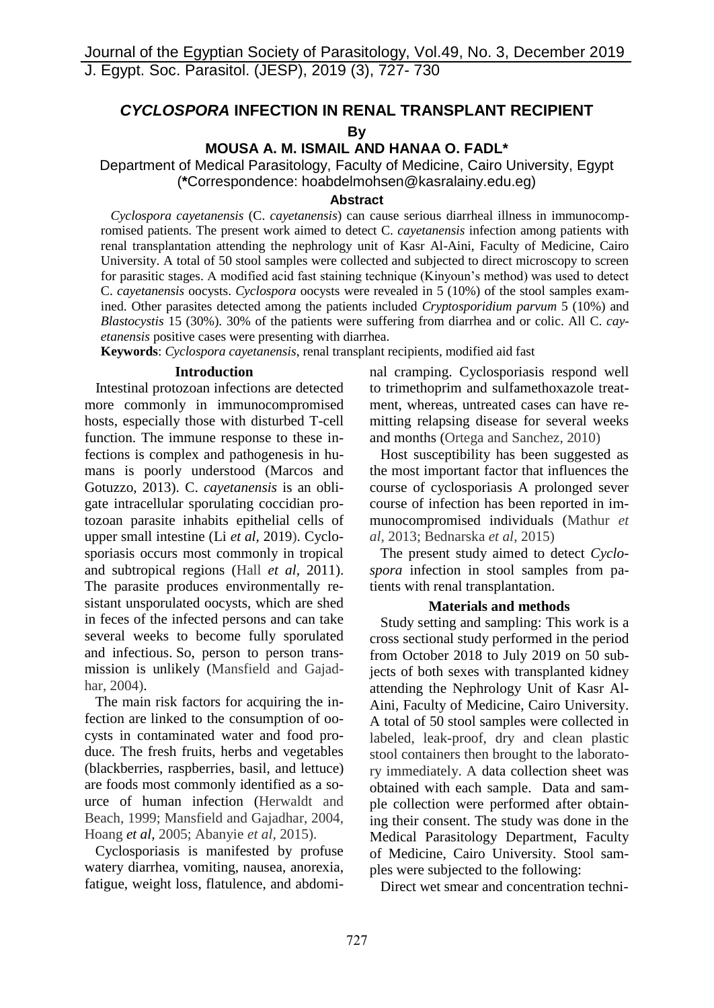# *CYCLOSPORA* **INFECTION IN RENAL TRANSPLANT RECIPIENT By**

**[MOUSA A. M. ISMAIL](http://parasitol.kr/articles/search_result.php?term=author&f_name=Mousa%20A.%20M.&l_name=Ismail) AND HANAA O. FADL\***

Department of Medical Parasitology, Faculty of Medicine, Cairo University, Egypt (**\***Correspondence: hoabdelmohsen@kasralainy.edu.eg)

### **Abstract**

 *Cyclospora cayetanensis* (C. *cayetanensis*) can cause serious diarrheal illness in immunocompromised patients. The present work aimed to detect C. *cayetanensis* infection among patients with renal transplantation attending the nephrology unit of Kasr Al-Aini, Faculty of Medicine, Cairo University. A total of 50 stool samples were collected and subjected to direct microscopy to screen for parasitic stages. A modified acid fast staining technique (Kinyoun's method) was used to detect C. *cayetanensis* oocysts. *Cyclospora* oocysts were revealed in 5 (10%) of the stool samples examined. Other parasites detected among the patients included *Cryptosporidium parvum* 5 (10%) and *Blastocystis* 15 (30%). 30% of the patients were suffering from diarrhea and or colic. All C. *cayetanensis* positive cases were presenting with diarrhea.

**Keywords**: *Cyclospora cayetanensis*, renal transplant recipients, modified aid fast

#### **Introduction**

 Intestinal protozoan infections are detected more commonly in immunocompromised hosts, especially those with disturbed T-cell function. The immune response to these infections is complex and pathogenesis in humans is poorly understood (Marcos and Gotuzzo, 2013). C. *cayetanensis* is an obligate intracellular sporulating coccidian protozoan parasite inhabits epithelial cells of upper small intestine (Li *et al,* 2019). Cyclosporiasis occurs most commonly in tropical and subtropical regions (Hall *et al,* 2011). The parasite produces environmentally resistant unsporulated oocysts, which are shed in feces of the infected persons and can take several weeks to become fully sporulated and infectious. So, person to person transmission is unlikely (Mansfield and Gajadhar, 2004).

 The main risk factors for acquiring the infection are linked to the consumption of oocysts in contaminated water and food produce. The fresh fruits, herbs and vegetables (blackberries, raspberries, basil, and lettuce) are foods most commonly identified as a source of human infection (Herwaldt and Beach, 1999; Mansfield and Gajadhar, 2004, Hoang *et al,* 2005; Abanyie *et al,* 2015).

 Cyclosporiasis is manifested by profuse watery diarrhea, vomiting, nausea, anorexia, fatigue, weight loss, flatulence, and abdominal cramping. Cyclosporiasis respond well to trimethoprim and sulfamethoxazole treatment, whereas, untreated cases can have remitting relapsing disease for several weeks and months (Ortega and Sanchez, 2010)

 Host susceptibility has been suggested as the most important factor that influences the course of cyclosporiasis A prolonged sever course of infection has been reported in immunocompromised individuals (Mathur *et al,* 2013; Bednarska *et al*, 2015)

 The present study aimed to detect *Cyclospora* infection in stool samples from patients with renal transplantation.

## **Materials and methods**

 Study setting and sampling: This work is a cross sectional study performed in the period from October 2018 to July 2019 on 50 subjects of both sexes with transplanted kidney attending the Nephrology Unit of Kasr Al-Aini, Faculty of Medicine, Cairo University. A total of 50 stool samples were collected in labeled, leak-proof, dry and clean plastic stool containers then brought to the laboratory immediately. A data collection sheet was obtained with each sample. Data and sample collection were performed after obtaining their consent. The study was done in the Medical Parasitology Department, Faculty of Medicine, Cairo University. Stool samples were subjected to the following:

Direct wet smear and concentration techni-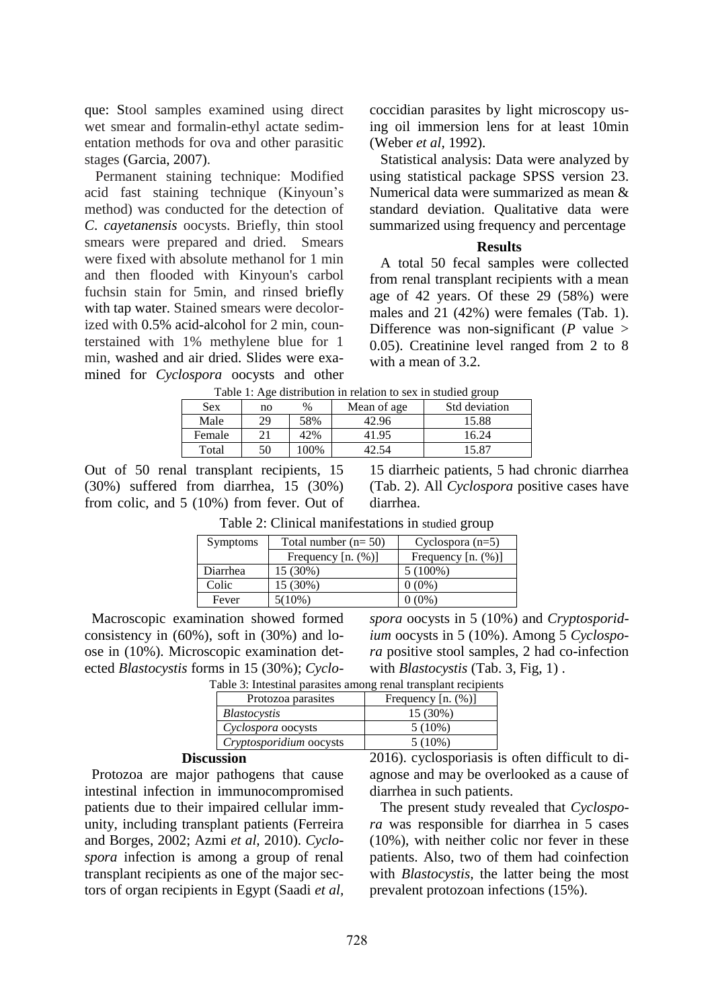que: Stool samples examined using direct wet smear and formalin-ethyl actate sedimentation methods for ova and other parasitic stages (Garcia, 2007).

 Permanent staining technique: Modified acid fast staining technique (Kinyoun's method) was conducted for the detection of *C*. *cayetanensis* oocysts. Briefly, thin stool smears were prepared and dried. Smears were fixed with absolute methanol for 1 min and then flooded with Kinyoun's carbol fuchsin stain for 5min, and rinsed briefly with tap water. Stained smears were decolorized with 0.5% acid-alcohol for 2 min, counterstained with 1% methylene blue for 1 min, washed and air dried. Slides were examined for *Cyclospora* oocysts and other coccidian parasites by light microscopy using oil immersion lens for at least 10min (Weber *et al,* 1992).

Statistical analysis: Data were analyzed by using statistical package SPSS version 23. Numerical data were summarized as mean & standard deviation. Qualitative data were summarized using frequency and percentage

## **Results**

 A total 50 fecal samples were collected from renal transplant recipients with a mean age of 42 years. Of these 29 (58%) were males and 21 (42%) were females (Tab. 1). Difference was non-significant  $(P \text{ value} >$ 0.05). Creatinine level ranged from 2 to 8 with a mean of 3.2.

| Table 1: Age distribution in relation to sex in studied group |    |      |             |               |  |
|---------------------------------------------------------------|----|------|-------------|---------------|--|
| <b>Sex</b>                                                    | no | $\%$ | Mean of age | Std deviation |  |
| Male                                                          | 29 | 58%  | 42.96       | 15.88         |  |
| Female                                                        |    | 42%  | 41.95       | 16.24         |  |
| Total                                                         | 50 | 100% |             | 15.87         |  |

Out of 50 renal transplant recipients, 15 (30%) suffered from diarrhea, 15 (30%) from colic, and 5 (10%) from fever. Out of

15 diarrheic patients, 5 had chronic diarrhea (Tab. 2). All *Cyclospora* positive cases have diarrhea.

| <b>Symptoms</b> | Total number $(n=50)$ | Cyclospora $(n=5)$   |
|-----------------|-----------------------|----------------------|
|                 | Frequency $[n. (%)]$  | Frequency $[n. (%)]$ |
| Diarrhea        | 15 (30%)              | $5(100\%)$           |
| Colic           | 15 (30%)              | $0(0\%)$             |
| Fever           | $5(10\%)$             | $0(0\%)$             |

Table 2: Clinical manifestations in studied group

 Macroscopic examination showed formed consistency in (60%), soft in (30%) and loose in (10%). Microscopic examination detected *Blastocystis* forms in 15 (30%); *Cyclo-*

*ium* oocysts in 5 (10%). Among 5 *Cyclospora* positive stool samples, 2 had co-infection with *Blastocystis* (Tab. 3, Fig, 1) . Table 3: Intestinal parasites among renal transplant recipients

*spora* oocysts in 5 (10%) and *Cryptosporid-*

| Protozoa parasites      | Frequency $[n. (%)]$ |
|-------------------------|----------------------|
| <i>Blastocystis</i>     | 15 (30%)             |
| Cyclospora oocysts      | $5(10\%)$            |
| Cryptosporidium oocysts | $5(10\%)$            |

### **Discussion**

 Protozoa are major pathogens that cause intestinal infection in immunocompromised patients due to their impaired cellular immunity, including transplant patients (Ferreira and Borges, 2002; Azmi *et al,* 2010). *Cyclospora* infection is among a group of renal transplant recipients as one of the major sectors of organ recipients in Egypt (Saadi *et al,* 2016). cyclosporiasis is often difficult to diagnose and may be overlooked as a cause of diarrhea in such patients.

 The present study revealed that *Cyclospora* was responsible for diarrhea in 5 cases (10%), with neither colic nor fever in these patients. Also, two of them had coinfection with *Blastocystis,* the latter being the most prevalent protozoan infections (15%).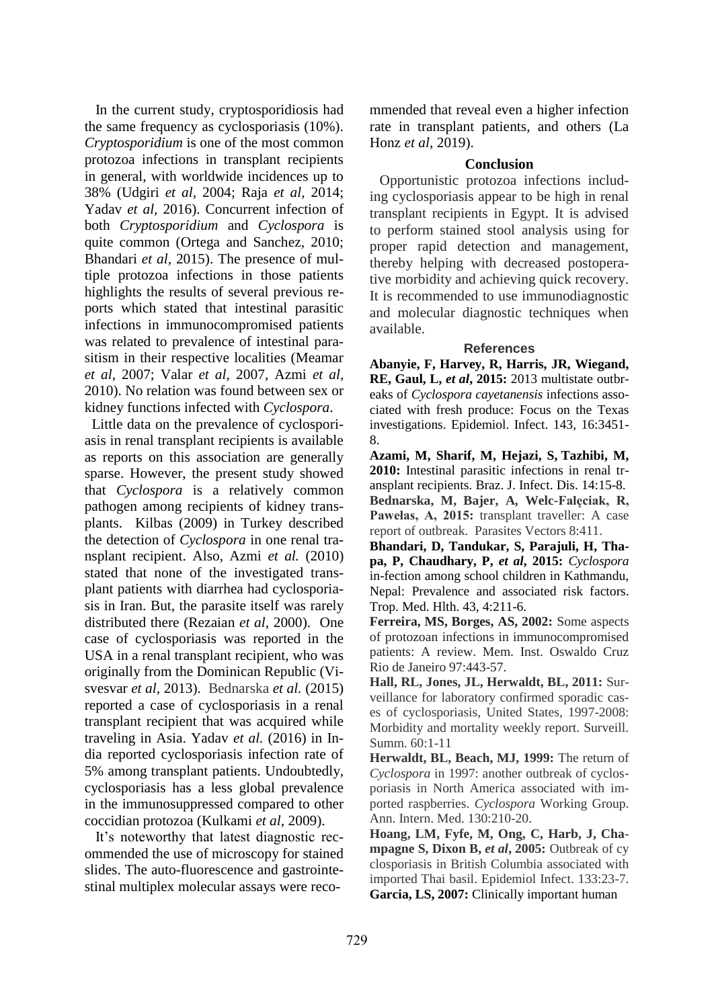In the current study, cryptosporidiosis had the same frequency as cyclosporiasis (10%). *Cryptosporidium* is one of the most common protozoa infections in transplant recipients in general, with worldwide incidences up to 38% (Udgiri *et al,* 2004; Raja *et al,* 2014; Yadav *et al,* 2016). Concurrent infection of both *Cryptosporidium* and *Cyclospora* is quite common (Ortega and Sanchez, 2010; Bhandari *et al,* 2015). The presence of multiple protozoa infections in those patients highlights the results of several previous reports which stated that intestinal parasitic infections in immunocompromised patients was related to prevalence of intestinal parasitism in their respective localities (Meamar *et al,* 2007; Valar *et al,* 2007, Azmi *et al,* 2010). No relation was found between sex or kidney functions infected with *Cyclospora*.

 Little data on the prevalence of cyclosporiasis in renal transplant recipients is available as reports on this association are generally sparse. However, the present study showed that *Cyclospora* is a relatively common pathogen among recipients of kidney transplants. Kilbas (2009) in Turkey described the detection of *Cyclospora* in one renal transplant recipient. Also, Azmi *et al.* (2010) stated that none of the investigated transplant patients with diarrhea had cyclosporiasis in Iran. But, the parasite itself was rarely distributed there (Rezaian *et al,* 2000). One case of cyclosporiasis was reported in the USA in a renal transplant recipient, who was originally from the Dominican Republic (Visvesvar *et al,* 2013). Bednarska *et al.* (2015) reported a case of cyclosporiasis in a renal transplant recipient that was acquired while traveling in Asia. Yadav *et al.* (2016) in India reported cyclosporiasis infection rate of 5% among transplant patients. Undoubtedly, cyclosporiasis has a less global prevalence in the immunosuppressed compared to other coccidian protozoa (Kulkami *et al,* 2009).

 It's noteworthy that latest diagnostic recommended the use of microscopy for stained slides. The auto-fluorescence and gastrointestinal multiplex molecular assays were recommended that reveal even a higher infection rate in transplant patients, and others (La Honz *et al,* 2019).

#### **Conclusion**

 Opportunistic protozoa infections including cyclosporiasis appear to be high in renal transplant recipients in Egypt. It is advised to perform stained stool analysis using for proper rapid detection and management, thereby helping with decreased postoperative morbidity and achieving quick recovery. It is recommended to use immunodiagnostic and molecular diagnostic techniques when available.

#### **References**

**Abanyie, F, Harvey, R, Harris, JR, Wiegand, RE, Gaul, L,** *et al***, 2015:** 2013 multistate outbreaks of *Cyclospora cayetanensis* infections associated with fresh produce: Focus on the Texas investigations. Epidemiol. Infect. 143, 16:3451- 8.

**Azami, M, Sharif, M, Hejazi, S, Tazhibi, M, 2010:** Intestinal parasitic infections in renal transplant recipients. Braz. J. Infect. Dis. 14:15-8. **Bednarska, M, Bajer, A, Welc-Falęciak, R, Pawełas, A, 2015:** transplant traveller: A case report of outbreak. Parasites Vectors 8:411.

**Bhandari, D, Tandukar, S, Parajuli, H, Thapa, P, Chaudhary, P,** *et al***, 2015:** *Cyclospora* in-fection among school children in Kathmandu, Nepal: Prevalence and associated risk factors. Trop. Med. Hlth. 43, 4:211-6.

**Ferreira, MS, Borges, AS, 2002:** Some aspects of protozoan infections in immunocompromised patients: A review. Mem. Inst. Oswaldo Cruz Rio de Janeiro 97:443-57.

**Hall, RL, Jones, JL, Herwaldt, BL, 2011:** Surveillance for laboratory confirmed sporadic cases of cyclosporiasis, United States, 1997-2008: Morbidity and mortality weekly report. Surveill. Summ. 60:1-11

**Herwaldt, BL, Beach, MJ, 1999:** The return of *Cyclospora* in 1997: another outbreak of cyclosporiasis in North America associated with imported raspberries. *Cyclospora* Working Group. Ann. Intern. Med. 130:210-20.

**Hoang, LM, Fyfe, M, Ong, C, Harb, J, Champagne S, Dixon B,** *et al***, 2005:** Outbreak of cy closporiasis in British Columbia associated with imported Thai basil. Epidemiol Infect. 133:23-7. **Garcia, LS, 2007:** Clinically important human